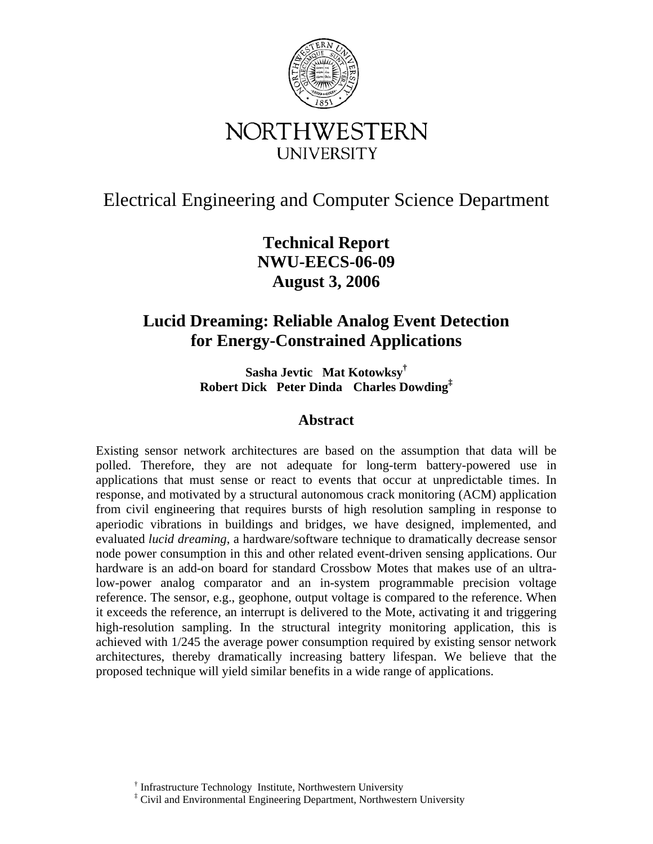

# Electrical Engineering and Computer Science Department

**Technical Report NWU-EECS-06-09 August 3, 2006**

## **Lucid Dreaming: Reliable Analog Event Detection for Energy-Constrained Applications**

**Sasha Jevtic Mat Kotowksy† Robert Dick Peter Dinda Charles Dowding‡**

## **Abstract**

Existing sensor network architectures are based on the assumption that data will be polled. Therefore, they are not adequate for long-term battery-powered use in applications that must sense or react to events that occur at unpredictable times. In response, and motivated by a structural autonomous crack monitoring (ACM) application from civil engineering that requires bursts of high resolution sampling in response to aperiodic vibrations in buildings and bridges, we have designed, implemented, and evaluated *lucid dreaming*, a hardware/software technique to dramatically decrease sensor node power consumption in this and other related event-driven sensing applications. Our hardware is an add-on board for standard Crossbow Motes that makes use of an ultralow-power analog comparator and an in-system programmable precision voltage reference. The sensor, e.g., geophone, output voltage is compared to the reference. When it exceeds the reference, an interrupt is delivered to the Mote, activating it and triggering high-resolution sampling. In the structural integrity monitoring application, this is achieved with 1/245 the average power consumption required by existing sensor network architectures, thereby dramatically increasing battery lifespan. We believe that the proposed technique will yield similar benefits in a wide range of applications.

<sup>†</sup> Infrastructure Technology Institute, Northwestern University

<sup>‡</sup> Civil and Environmental Engineering Department, Northwestern University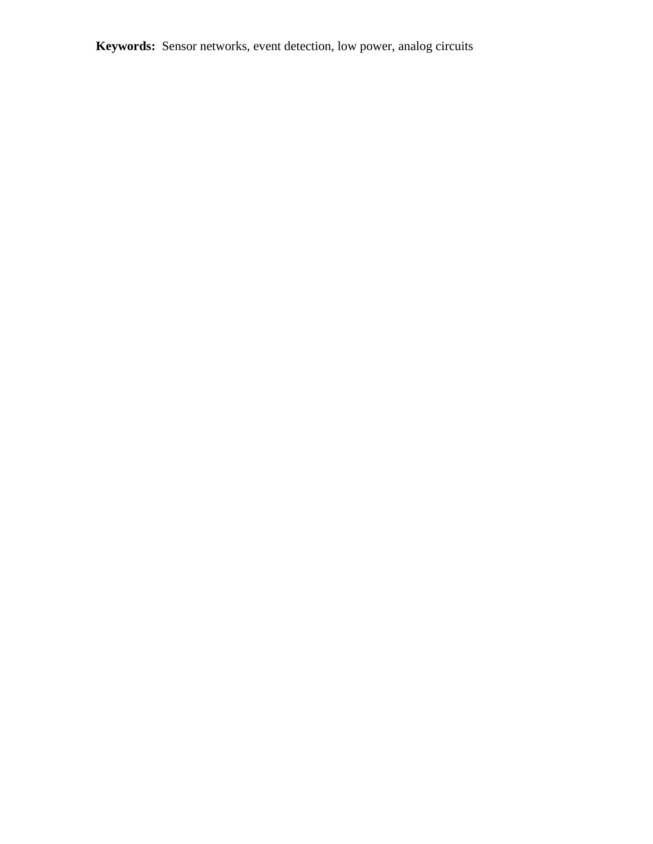**Keywords:** Sensor networks, event detection, low power, analog circuits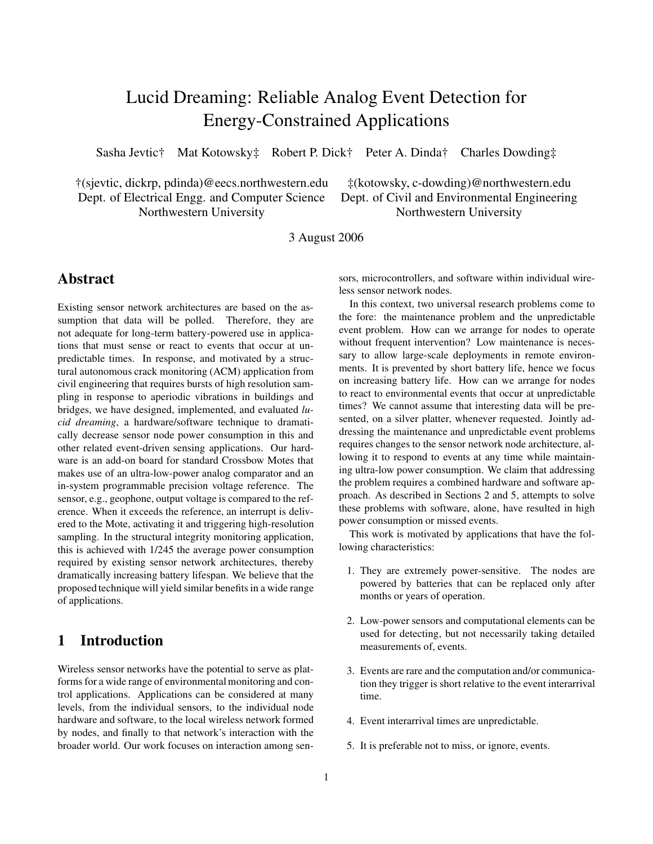# Lucid Dreaming: Reliable Analog Event Detection for Energy-Constrained Applications

Sasha Jevtic† Mat Kotowsky‡ Robert P. Dick† Peter A. Dinda† Charles Dowding‡

†(sjevtic, dickrp, pdinda)@eecs.northwestern.edu ‡(kotowsky, c-dowding)@northwestern.edu Dept. of Electrical Engg. and Computer Science Dept. of Civil and Environmental Engineering Northwestern University Northwestern University

3 August 2006

### **Abstract**

Existing sensor network architectures are based on the assumption that data will be polled. Therefore, they are not adequate for long-term battery-powered use in applications that must sense or react to events that occur at unpredictable times. In response, and motivated by a structural autonomous crack monitoring (ACM) application from civil engineering that requires bursts of high resolution sampling in response to aperiodic vibrations in buildings and bridges, we have designed, implemented, and evaluated *lucid dreaming*, a hardware/software technique to dramatically decrease sensor node power consumption in this and other related event-driven sensing applications. Our hardware is an add-on board for standard Crossbow Motes that makes use of an ultra-low-power analog comparator and an in-system programmable precision voltage reference. The sensor, e.g., geophone, output voltage is compared to the reference. When it exceeds the reference, an interrupt is delivered to the Mote, activating it and triggering high-resolution sampling. In the structural integrity monitoring application, this is achieved with 1/245 the average power consumption required by existing sensor network architectures, thereby dramatically increasing battery lifespan. We believe that the proposed technique will yield similar benefits in a wide range of applications.

## **1 Introduction**

Wireless sensor networks have the potential to serve as platforms for a wide range of environmental monitoring and control applications. Applications can be considered at many levels, from the individual sensors, to the individual node hardware and software, to the local wireless network formed by nodes, and finally to that network's interaction with the broader world. Our work focuses on interaction among sensors, microcontrollers, and software within individual wireless sensor network nodes.

In this context, two universal research problems come to the fore: the maintenance problem and the unpredictable event problem. How can we arrange for nodes to operate without frequent intervention? Low maintenance is necessary to allow large-scale deployments in remote environments. It is prevented by short battery life, hence we focus on increasing battery life. How can we arrange for nodes to react to environmental events that occur at unpredictable times? We cannot assume that interesting data will be presented, on a silver platter, whenever requested. Jointly addressing the maintenance and unpredictable event problems requires changes to the sensor network node architecture, allowing it to respond to events at any time while maintaining ultra-low power consumption. We claim that addressing the problem requires a combined hardware and software approach. As described in Sections 2 and 5, attempts to solve these problems with software, alone, have resulted in high power consumption or missed events.

This work is motivated by applications that have the following characteristics:

- 1. They are extremely power-sensitive. The nodes are powered by batteries that can be replaced only after months or years of operation.
- 2. Low-power sensors and computational elements can be used for detecting, but not necessarily taking detailed measurements of, events.
- 3. Events are rare and the computation and/or communication they trigger is short relative to the event interarrival time.
- 4. Event interarrival times are unpredictable.
- 5. It is preferable not to miss, or ignore, events.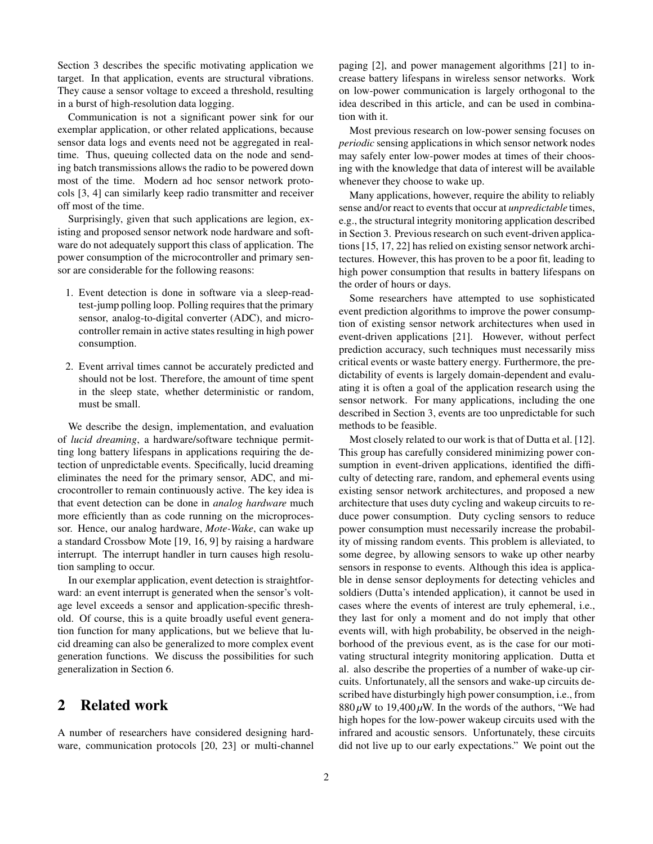Section 3 describes the specific motivating application we target. In that application, events are structural vibrations. They cause a sensor voltage to exceed a threshold, resulting in a burst of high-resolution data logging.

Communication is not a significant power sink for our exemplar application, or other related applications, because sensor data logs and events need not be aggregated in realtime. Thus, queuing collected data on the node and sending batch transmissions allows the radio to be powered down most of the time. Modern ad hoc sensor network protocols [3, 4] can similarly keep radio transmitter and receiver off most of the time.

Surprisingly, given that such applications are legion, existing and proposed sensor network node hardware and software do not adequately support this class of application. The power consumption of the microcontroller and primary sensor are considerable for the following reasons:

- 1. Event detection is done in software via a sleep-readtest-jump polling loop. Polling requires that the primary sensor, analog-to-digital converter (ADC), and microcontroller remain in active states resulting in high power consumption.
- 2. Event arrival times cannot be accurately predicted and should not be lost. Therefore, the amount of time spent in the sleep state, whether deterministic or random, must be small.

We describe the design, implementation, and evaluation of *lucid dreaming*, a hardware/software technique permitting long battery lifespans in applications requiring the detection of unpredictable events. Specifically, lucid dreaming eliminates the need for the primary sensor, ADC, and microcontroller to remain continuously active. The key idea is that event detection can be done in *analog hardware* much more efficiently than as code running on the microprocessor. Hence, our analog hardware, *Mote-Wake*, can wake up a standard Crossbow Mote [19, 16, 9] by raising a hardware interrupt. The interrupt handler in turn causes high resolution sampling to occur.

In our exemplar application, event detection is straightforward: an event interrupt is generated when the sensor's voltage level exceeds a sensor and application-specific threshold. Of course, this is a quite broadly useful event generation function for many applications, but we believe that lucid dreaming can also be generalized to more complex event generation functions. We discuss the possibilities for such generalization in Section 6.

## **2 Related work**

A number of researchers have considered designing hardware, communication protocols [20, 23] or multi-channel paging [2], and power management algorithms [21] to increase battery lifespans in wireless sensor networks. Work on low-power communication is largely orthogonal to the idea described in this article, and can be used in combination with it.

Most previous research on low-power sensing focuses on *periodic* sensing applications in which sensor network nodes may safely enter low-power modes at times of their choosing with the knowledge that data of interest will be available whenever they choose to wake up.

Many applications, however, require the ability to reliably sense and/or react to events that occur at *unpredictable* times, e.g., the structural integrity monitoring application described in Section 3. Previous research on such event-driven applications [15, 17, 22] has relied on existing sensor network architectures. However, this has proven to be a poor fit, leading to high power consumption that results in battery lifespans on the order of hours or days.

Some researchers have attempted to use sophisticated event prediction algorithms to improve the power consumption of existing sensor network architectures when used in event-driven applications [21]. However, without perfect prediction accuracy, such techniques must necessarily miss critical events or waste battery energy. Furthermore, the predictability of events is largely domain-dependent and evaluating it is often a goal of the application research using the sensor network. For many applications, including the one described in Section 3, events are too unpredictable for such methods to be feasible.

Most closely related to our work is that of Dutta et al. [12]. This group has carefully considered minimizing power consumption in event-driven applications, identified the difficulty of detecting rare, random, and ephemeral events using existing sensor network architectures, and proposed a new architecture that uses duty cycling and wakeup circuits to reduce power consumption. Duty cycling sensors to reduce power consumption must necessarily increase the probability of missing random events. This problem is alleviated, to some degree, by allowing sensors to wake up other nearby sensors in response to events. Although this idea is applicable in dense sensor deployments for detecting vehicles and soldiers (Dutta's intended application), it cannot be used in cases where the events of interest are truly ephemeral, i.e., they last for only a moment and do not imply that other events will, with high probability, be observed in the neighborhood of the previous event, as is the case for our motivating structural integrity monitoring application. Dutta et al. also describe the properties of a number of wake-up circuits. Unfortunately, all the sensors and wake-up circuits described have disturbingly high power consumption, i.e., from  $880 \mu$ W to 19,400  $\mu$ W. In the words of the authors, "We had high hopes for the low-power wakeup circuits used with the infrared and acoustic sensors. Unfortunately, these circuits did not live up to our early expectations." We point out the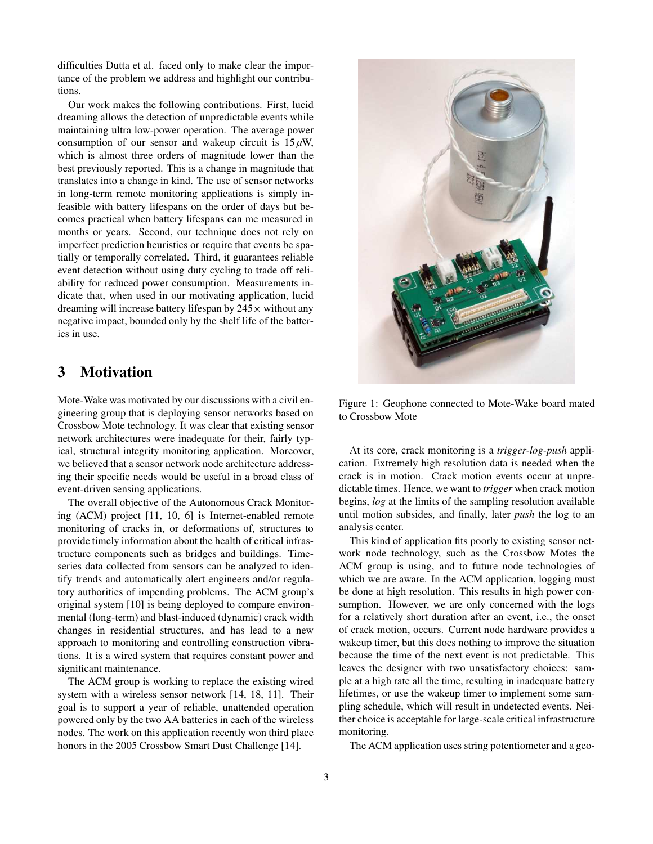difficulties Dutta et al. faced only to make clear the importance of the problem we address and highlight our contributions.

Our work makes the following contributions. First, lucid dreaming allows the detection of unpredictable events while maintaining ultra low-power operation. The average power consumption of our sensor and wakeup circuit is  $15 \mu W$ , which is almost three orders of magnitude lower than the best previously reported. This is a change in magnitude that translates into a change in kind. The use of sensor networks in long-term remote monitoring applications is simply infeasible with battery lifespans on the order of days but becomes practical when battery lifespans can me measured in months or years. Second, our technique does not rely on imperfect prediction heuristics or require that events be spatially or temporally correlated. Third, it guarantees reliable event detection without using duty cycling to trade off reliability for reduced power consumption. Measurements indicate that, when used in our motivating application, lucid dreaming will increase battery lifespan by  $245\times$  without any negative impact, bounded only by the shelf life of the batteries in use.

## **3 Motivation**

Mote-Wake was motivated by our discussions with a civil engineering group that is deploying sensor networks based on Crossbow Mote technology. It was clear that existing sensor network architectures were inadequate for their, fairly typical, structural integrity monitoring application. Moreover, we believed that a sensor network node architecture addressing their specific needs would be useful in a broad class of event-driven sensing applications.

The overall objective of the Autonomous Crack Monitoring (ACM) project [11, 10, 6] is Internet-enabled remote monitoring of cracks in, or deformations of, structures to provide timely information about the health of critical infrastructure components such as bridges and buildings. Timeseries data collected from sensors can be analyzed to identify trends and automatically alert engineers and/or regulatory authorities of impending problems. The ACM group's original system [10] is being deployed to compare environmental (long-term) and blast-induced (dynamic) crack width changes in residential structures, and has lead to a new approach to monitoring and controlling construction vibrations. It is a wired system that requires constant power and significant maintenance.

The ACM group is working to replace the existing wired system with a wireless sensor network [14, 18, 11]. Their goal is to support a year of reliable, unattended operation powered only by the two AA batteries in each of the wireless nodes. The work on this application recently won third place honors in the 2005 Crossbow Smart Dust Challenge [14].



Figure 1: Geophone connected to Mote-Wake board mated to Crossbow Mote

At its core, crack monitoring is a *trigger-log-push* application. Extremely high resolution data is needed when the crack is in motion. Crack motion events occur at unpredictable times. Hence, we want to *trigger* when crack motion begins, *log* at the limits of the sampling resolution available until motion subsides, and finally, later *push* the log to an analysis center.

This kind of application fits poorly to existing sensor network node technology, such as the Crossbow Motes the ACM group is using, and to future node technologies of which we are aware. In the ACM application, logging must be done at high resolution. This results in high power consumption. However, we are only concerned with the logs for a relatively short duration after an event, i.e., the onset of crack motion, occurs. Current node hardware provides a wakeup timer, but this does nothing to improve the situation because the time of the next event is not predictable. This leaves the designer with two unsatisfactory choices: sample at a high rate all the time, resulting in inadequate battery lifetimes, or use the wakeup timer to implement some sampling schedule, which will result in undetected events. Neither choice is acceptable for large-scale critical infrastructure monitoring.

The ACM application uses string potentiometer and a geo-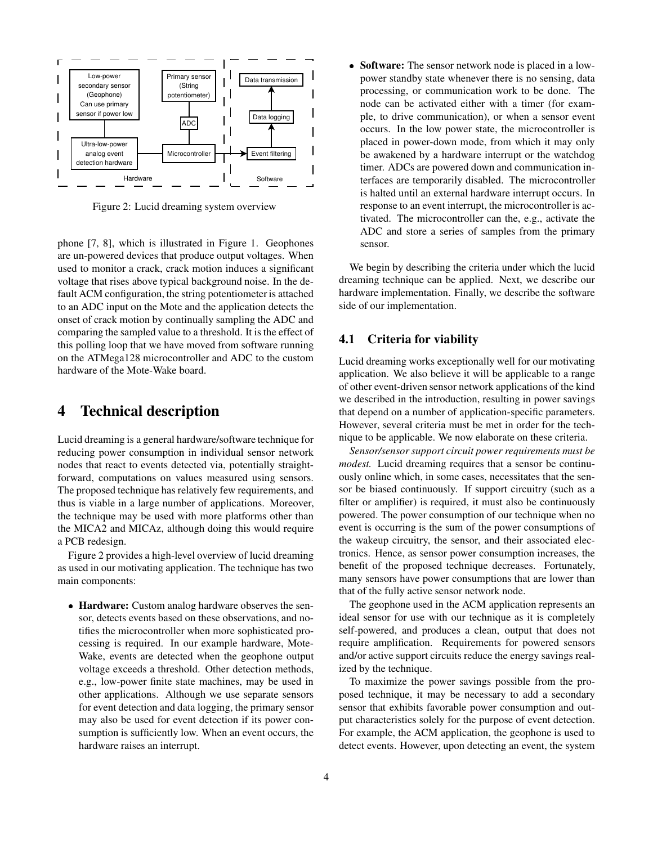

Figure 2: Lucid dreaming system overview

phone [7, 8], which is illustrated in Figure 1. Geophones are un-powered devices that produce output voltages. When used to monitor a crack, crack motion induces a significant voltage that rises above typical background noise. In the default ACM configuration, the string potentiometer is attached to an ADC input on the Mote and the application detects the onset of crack motion by continually sampling the ADC and comparing the sampled value to a threshold. It is the effect of this polling loop that we have moved from software running on the ATMega128 microcontroller and ADC to the custom hardware of the Mote-Wake board.

## **4 Technical description**

Lucid dreaming is a general hardware/software technique for reducing power consumption in individual sensor network nodes that react to events detected via, potentially straightforward, computations on values measured using sensors. The proposed technique has relatively few requirements, and thus is viable in a large number of applications. Moreover, the technique may be used with more platforms other than the MICA2 and MICAz, although doing this would require a PCB redesign.

Figure 2 provides a high-level overview of lucid dreaming as used in our motivating application. The technique has two main components:

 **Hardware:** Custom analog hardware observes the sensor, detects events based on these observations, and notifies the microcontroller when more sophisticated processing is required. In our example hardware, Mote-Wake, events are detected when the geophone output voltage exceeds a threshold. Other detection methods, e.g., low-power finite state machines, may be used in other applications. Although we use separate sensors for event detection and data logging, the primary sensor may also be used for event detection if its power consumption is sufficiently low. When an event occurs, the hardware raises an interrupt.

 **Software:** The sensor network node is placed in a lowpower standby state whenever there is no sensing, data processing, or communication work to be done. The node can be activated either with a timer (for example, to drive communication), or when a sensor event occurs. In the low power state, the microcontroller is placed in power-down mode, from which it may only be awakened by a hardware interrupt or the watchdog timer. ADCs are powered down and communication interfaces are temporarily disabled. The microcontroller is halted until an external hardware interrupt occurs. In response to an event interrupt, the microcontroller is activated. The microcontroller can the, e.g., activate the ADC and store a series of samples from the primary sensor.

We begin by describing the criteria under which the lucid dreaming technique can be applied. Next, we describe our hardware implementation. Finally, we describe the software side of our implementation.

#### **4.1 Criteria for viability**

Lucid dreaming works exceptionally well for our motivating application. We also believe it will be applicable to a range of other event-driven sensor network applications of the kind we described in the introduction, resulting in power savings that depend on a number of application-specific parameters. However, several criteria must be met in order for the technique to be applicable. We now elaborate on these criteria.

*Sensor/sensor support circuit power requirements must be modest.* Lucid dreaming requires that a sensor be continuously online which, in some cases, necessitates that the sensor be biased continuously. If support circuitry (such as a filter or amplifier) is required, it must also be continuously powered. The power consumption of our technique when no event is occurring is the sum of the power consumptions of the wakeup circuitry, the sensor, and their associated electronics. Hence, as sensor power consumption increases, the benefit of the proposed technique decreases. Fortunately, many sensors have power consumptions that are lower than that of the fully active sensor network node.

The geophone used in the ACM application represents an ideal sensor for use with our technique as it is completely self-powered, and produces a clean, output that does not require amplification. Requirements for powered sensors and/or active support circuits reduce the energy savings realized by the technique.

To maximize the power savings possible from the proposed technique, it may be necessary to add a secondary sensor that exhibits favorable power consumption and output characteristics solely for the purpose of event detection. For example, the ACM application, the geophone is used to detect events. However, upon detecting an event, the system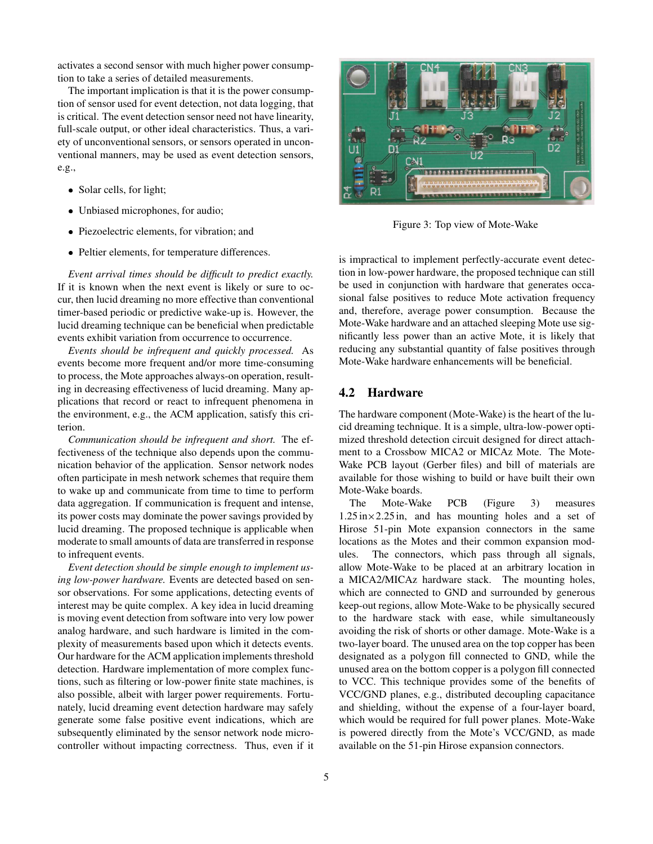activates a second sensor with much higher power consumption to take a series of detailed measurements.

The important implication is that it is the power consumption of sensor used for event detection, not data logging, that is critical. The event detection sensor need not have linearity, full-scale output, or other ideal characteristics. Thus, a variety of unconventional sensors, or sensors operated in unconventional manners, may be used as event detection sensors, e.g.,

- Solar cells, for light;
- Unbiased microphones, for audio;
- Piezoelectric elements, for vibration; and
- Peltier elements, for temperature differences.

*Event arrival times should be difficult to predict exactly.* If it is known when the next event is likely or sure to occur, then lucid dreaming no more effective than conventional timer-based periodic or predictive wake-up is. However, the lucid dreaming technique can be beneficial when predictable events exhibit variation from occurrence to occurrence.

*Events should be infrequent and quickly processed.* As events become more frequent and/or more time-consuming to process, the Mote approaches always-on operation, resulting in decreasing effectiveness of lucid dreaming. Many applications that record or react to infrequent phenomena in the environment, e.g., the ACM application, satisfy this criterion.

*Communication should be infrequent and short.* The effectiveness of the technique also depends upon the communication behavior of the application. Sensor network nodes often participate in mesh network schemes that require them to wake up and communicate from time to time to perform data aggregation. If communication is frequent and intense, its power costs may dominate the power savings provided by lucid dreaming. The proposed technique is applicable when moderate to small amounts of data are transferred in response to infrequent events.

*Event detection should be simple enough to implement using low-power hardware.* Events are detected based on sensor observations. For some applications, detecting events of interest may be quite complex. A key idea in lucid dreaming is moving event detection from software into very low power analog hardware, and such hardware is limited in the complexity of measurements based upon which it detects events. Our hardware for the ACM application implements threshold detection. Hardware implementation of more complex functions, such as filtering or low-power finite state machines, is also possible, albeit with larger power requirements. Fortunately, lucid dreaming event detection hardware may safely generate some false positive event indications, which are subsequently eliminated by the sensor network node microcontroller without impacting correctness. Thus, even if it



Figure 3: Top view of Mote-Wake

is impractical to implement perfectly-accurate event detection in low-power hardware, the proposed technique can still be used in conjunction with hardware that generates occasional false positives to reduce Mote activation frequency and, therefore, average power consumption. Because the Mote-Wake hardware and an attached sleeping Mote use significantly less power than an active Mote, it is likely that reducing any substantial quantity of false positives through Mote-Wake hardware enhancements will be beneficial.

#### **4.2 Hardware**

The hardware component (Mote-Wake) is the heart of the lucid dreaming technique. It is a simple, ultra-low-power optimized threshold detection circuit designed for direct attachment to a Crossbow MICA2 or MICAz Mote. The Mote-Wake PCB layout (Gerber files) and bill of materials are available for those wishing to build or have built their own Mote-Wake boards.

The Mote-Wake PCB (Figure 3) measures  $1.25 \text{ in} \times 2.25 \text{ in}$ , and has mounting holes and a set of Hirose 51-pin Mote expansion connectors in the same locations as the Motes and their common expansion modules. The connectors, which pass through all signals, allow Mote-Wake to be placed at an arbitrary location in a MICA2/MICAz hardware stack. The mounting holes, which are connected to GND and surrounded by generous keep-out regions, allow Mote-Wake to be physically secured to the hardware stack with ease, while simultaneously avoiding the risk of shorts or other damage. Mote-Wake is a two-layer board. The unused area on the top copper has been designated as a polygon fill connected to GND, while the unused area on the bottom copper is a polygon fill connected to VCC. This technique provides some of the benefits of VCC/GND planes, e.g., distributed decoupling capacitance and shielding, without the expense of a four-layer board, which would be required for full power planes. Mote-Wake is powered directly from the Mote's VCC/GND, as made available on the 51-pin Hirose expansion connectors.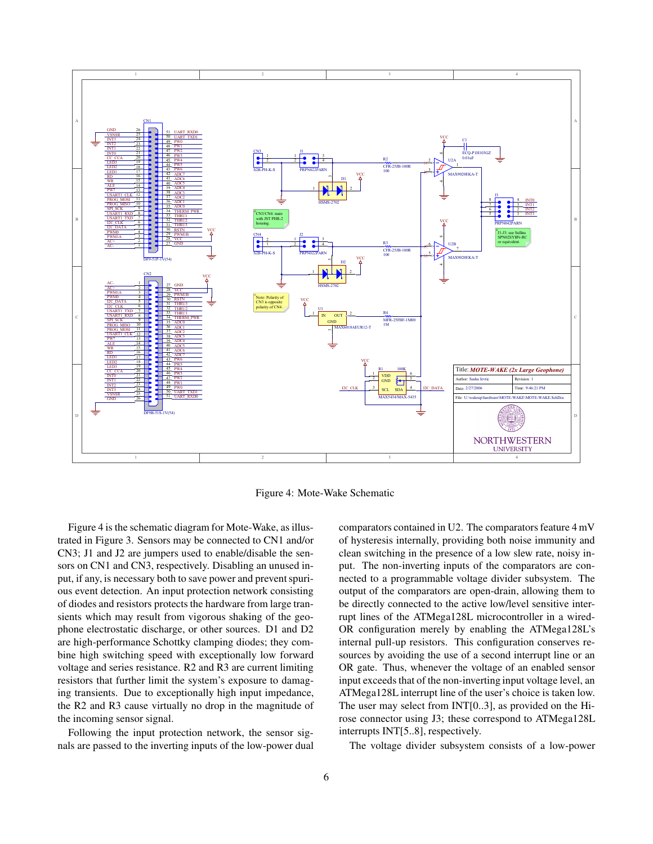

Figure 4: Mote-Wake Schematic

Figure 4 is the schematic diagram for Mote-Wake, as illustrated in Figure 3. Sensors may be connected to CN1 and/or CN3; J1 and J2 are jumpers used to enable/disable the sensors on CN1 and CN3, respectively. Disabling an unused input, if any, is necessary both to save power and prevent spurious event detection. An input protection network consisting of diodes and resistors protects the hardware from large transients which may result from vigorous shaking of the geophone electrostatic discharge, or other sources. D1 and D2 are high-performance Schottky clamping diodes; they combine high switching speed with exceptionally low forward voltage and series resistance. R2 and R3 are current limiting resistors that further limit the system's exposure to damaging transients. Due to exceptionally high input impedance, the R2 and R3 cause virtually no drop in the magnitude of the incoming sensor signal.

Following the input protection network, the sensor signals are passed to the inverting inputs of the low-power dual comparators contained in U2. The comparators feature 4 mV of hysteresis internally, providing both noise immunity and clean switching in the presence of a low slew rate, noisy input. The non-inverting inputs of the comparators are connected to a programmable voltage divider subsystem. The output of the comparators are open-drain, allowing them to be directly connected to the active low/level sensitive interrupt lines of the ATMega128L microcontroller in a wired-OR configuration merely by enabling the ATMega128L's internal pull-up resistors. This configuration conserves resources by avoiding the use of a second interrupt line or an OR gate. Thus, whenever the voltage of an enabled sensor input exceeds that of the non-inverting input voltage level, an ATMega128L interrupt line of the user's choice is taken low. The user may select from INT[0..3], as provided on the Hirose connector using J3; these correspond to ATMega128L interrupts INT[5..8], respectively.

The voltage divider subsystem consists of a low-power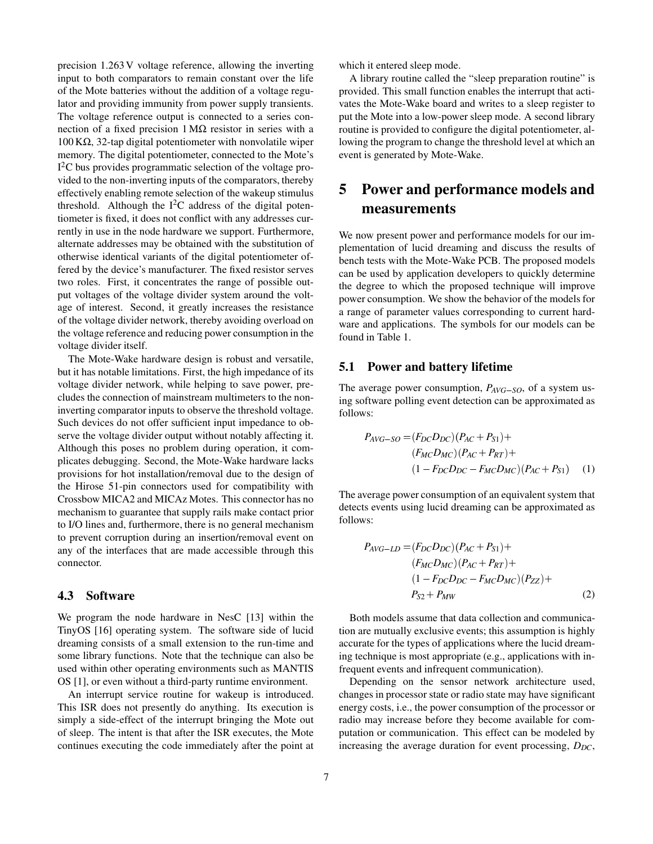precision 1.263 V voltage reference, allowing the inverting input to both comparators to remain constant over the life of the Mote batteries without the addition of a voltage regulator and providing immunity from power supply transients. The voltage reference output is connected to a series connection of a fixed precision  $1 MΩ$  resistor in series with a 100 KΩ, 32-tap digital potentiometer with nonvolatile wiper memory. The digital potentiometer, connected to the Mote's I<sup>2</sup>C bus provides programmatic selection of the voltage provided to the non-inverting inputs of the comparators, thereby effectively enabling remote selection of the wakeup stimulus threshold. Although the  $I<sup>2</sup>C$  address of the digital potentiometer is fixed, it does not conflict with any addresses currently in use in the node hardware we support. Furthermore, alternate addresses may be obtained with the substitution of otherwise identical variants of the digital potentiometer offered by the device's manufacturer. The fixed resistor serves two roles. First, it concentrates the range of possible output voltages of the voltage divider system around the voltage of interest. Second, it greatly increases the resistance of the voltage divider network, thereby avoiding overload on the voltage reference and reducing power consumption in the voltage divider itself.

The Mote-Wake hardware design is robust and versatile, but it has notable limitations. First, the high impedance of its voltage divider network, while helping to save power, precludes the connection of mainstream multimeters to the noninverting comparator inputs to observe the threshold voltage. Such devices do not offer sufficient input impedance to observe the voltage divider output without notably affecting it. Although this poses no problem during operation, it complicates debugging. Second, the Mote-Wake hardware lacks provisions for hot installation/removal due to the design of the Hirose 51-pin connectors used for compatibility with Crossbow MICA2 and MICAz Motes. This connector has no mechanism to guarantee that supply rails make contact prior to I/O lines and, furthermore, there is no general mechanism to prevent corruption during an insertion/removal event on any of the interfaces that are made accessible through this connector.

#### **4.3 Software**

We program the node hardware in NesC [13] within the TinyOS [16] operating system. The software side of lucid dreaming consists of a small extension to the run-time and some library functions. Note that the technique can also be used within other operating environments such as MANTIS OS [1], or even without a third-party runtime environment.

An interrupt service routine for wakeup is introduced. This ISR does not presently do anything. Its execution is simply a side-effect of the interrupt bringing the Mote out of sleep. The intent is that after the ISR executes, the Mote continues executing the code immediately after the point at

which it entered sleep mode.

A library routine called the "sleep preparation routine" is provided. This small function enables the interrupt that activates the Mote-Wake board and writes to a sleep register to put the Mote into a low-power sleep mode. A second library routine is provided to configure the digital potentiometer, allowing the program to change the threshold level at which an event is generated by Mote-Wake.

## **5 Power and performance models and measurements**

We now present power and performance models for our implementation of lucid dreaming and discuss the results of bench tests with the Mote-Wake PCB. The proposed models can be used by application developers to quickly determine the degree to which the proposed technique will improve power consumption. We show the behavior of the models for a range of parameter values corresponding to current hardware and applications. The symbols for our models can be found in Table 1.

#### **5.1 Power and battery lifetime**

The average power consumption,  $P_{AVG-SO}$ , of a system using software polling event detection can be approximated as follows:

$$
P_{AVG-SO} = (F_{DC}D_{DC})(P_{AC} + P_{S1}) +
$$
  
\n
$$
(F_{MC}D_{MC})(P_{AC} + P_{RT}) +
$$
  
\n
$$
(1 - F_{DC}D_{DC} - F_{MC}D_{MC})(P_{AC} + P_{S1})
$$
 (1)

The average power consumption of an equivalent system that detects events using lucid dreaming can be approximated as follows:

$$
P_{AVG-LD} = (F_{DC}D_{DC})(P_{AC} + P_{S1}) +
$$
  
\n
$$
(F_{MC}D_{MC})(P_{AC} + P_{RT}) +
$$
  
\n
$$
(1 - F_{DC}D_{DC} - F_{MC}D_{MC})(P_{ZZ}) +
$$
  
\n
$$
P_{S2} + P_{MW}
$$
 (2)

Both models assume that data collection and communication are mutually exclusive events; this assumption is highly accurate for the types of applications where the lucid dreaming technique is most appropriate (e.g., applications with infrequent events and infrequent communication).

Depending on the sensor network architecture used, changes in processor state or radio state may have significant energy costs, i.e., the power consumption of the processor or radio may increase before they become available for computation or communication. This effect can be modeled by increasing the average duration for event processing,  $D_{DC}$ ,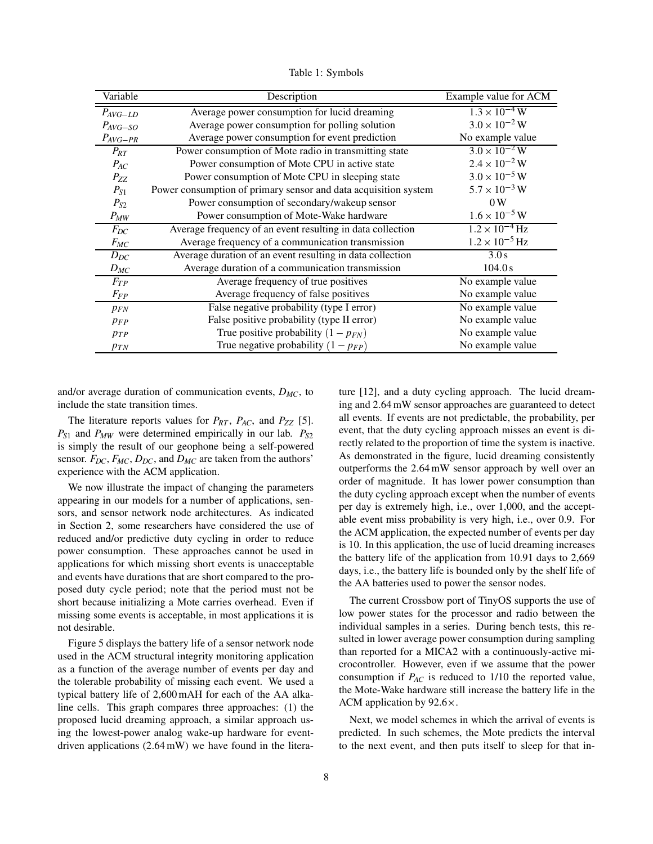| Variable     | Description                                                     | Example value for ACM   |
|--------------|-----------------------------------------------------------------|-------------------------|
| $P_{AVG-LD}$ | Average power consumption for lucid dreaming                    | $1.3 \times 10^{-4}$ W  |
| $P_{AVG-SO}$ | Average power consumption for polling solution                  | $3.0 \times 10^{-2}$ W  |
| $P_{AVG-PR}$ | Average power consumption for event prediction                  | No example value        |
| $P_{RT}$     | Power consumption of Mote radio in transmitting state           | $3.0 \times 10^{-2}$ W  |
| $P_{AC}$     | Power consumption of Mote CPU in active state                   | $2.4 \times 10^{-2}$ W  |
| $P_{ZZ}$     | Power consumption of Mote CPU in sleeping state                 | $3.0 \times 10^{-5}$ W  |
| $P_{S1}$     | Power consumption of primary sensor and data acquisition system | $5.7 \times 10^{-3}$ W  |
| $P_{S2}$     | Power consumption of secondary/wakeup sensor                    | 0W                      |
| $P_{MW}$     | Power consumption of Mote-Wake hardware                         | $1.6 \times 10^{-5}$ W  |
| $F_{DC}$     | Average frequency of an event resulting in data collection      | $1.2 \times 10^{-4}$ Hz |
| $F_{MC}$     | Average frequency of a communication transmission               | $1.2 \times 10^{-5}$ Hz |
| $D_{DC}$     | Average duration of an event resulting in data collection       | 3.0s                    |
| $D_{MC}$     | Average duration of a communication transmission                | 104.0 s                 |
| $F_{TP}$     | Average frequency of true positives                             | No example value        |
| $F_{FP}$     | Average frequency of false positives                            | No example value        |
| $p_{FN}$     | False negative probability (type I error)                       | No example value        |
| $p_{FP}$     | False positive probability (type II error)                      | No example value        |
| PTP          | True positive probability $(1 - p_{FN})$                        | No example value        |
| $p_{TN}$     | True negative probability $(1 - p_{FP})$                        | No example value        |

Table 1: Symbols

and/or average duration of communication events, *DMC*, to include the state transition times.

The literature reports values for  $P_{RT}$ ,  $P_{AC}$ , and  $P_{ZZ}$  [5]. *PS*<sup>1</sup> and *PMW* were determined empirically in our lab. *PS*<sup>2</sup> is simply the result of our geophone being a self-powered sensor. *FDC*, *FMC*, *DDC*, and *DMC* are taken from the authors' experience with the ACM application.

We now illustrate the impact of changing the parameters appearing in our models for a number of applications, sensors, and sensor network node architectures. As indicated in Section 2, some researchers have considered the use of reduced and/or predictive duty cycling in order to reduce power consumption. These approaches cannot be used in applications for which missing short events is unacceptable and events have durations that are short compared to the proposed duty cycle period; note that the period must not be short because initializing a Mote carries overhead. Even if missing some events is acceptable, in most applications it is not desirable.

Figure 5 displays the battery life of a sensor network node used in the ACM structural integrity monitoring application as a function of the average number of events per day and the tolerable probability of missing each event. We used a typical battery life of 2,600 mAH for each of the AA alkaline cells. This graph compares three approaches: (1) the proposed lucid dreaming approach, a similar approach using the lowest-power analog wake-up hardware for eventdriven applications (2.64 mW) we have found in the literature [12], and a duty cycling approach. The lucid dreaming and 2.64 mW sensor approaches are guaranteed to detect all events. If events are not predictable, the probability, per event, that the duty cycling approach misses an event is directly related to the proportion of time the system is inactive. As demonstrated in the figure, lucid dreaming consistently outperforms the 2.64 mW sensor approach by well over an order of magnitude. It has lower power consumption than the duty cycling approach except when the number of events per day is extremely high, i.e., over 1,000, and the acceptable event miss probability is very high, i.e., over 0.9. For the ACM application, the expected number of events per day is 10. In this application, the use of lucid dreaming increases the battery life of the application from 10.91 days to 2,669 days, i.e., the battery life is bounded only by the shelf life of the AA batteries used to power the sensor nodes.

The current Crossbow port of TinyOS supports the use of low power states for the processor and radio between the individual samples in a series. During bench tests, this resulted in lower average power consumption during sampling than reported for a MICA2 with a continuously-active microcontroller. However, even if we assume that the power consumption if *PAC* is reduced to 1/10 the reported value, the Mote-Wake hardware still increase the battery life in the ACM application by  $92.6 \times$ .

Next, we model schemes in which the arrival of events is predicted. In such schemes, the Mote predicts the interval to the next event, and then puts itself to sleep for that in-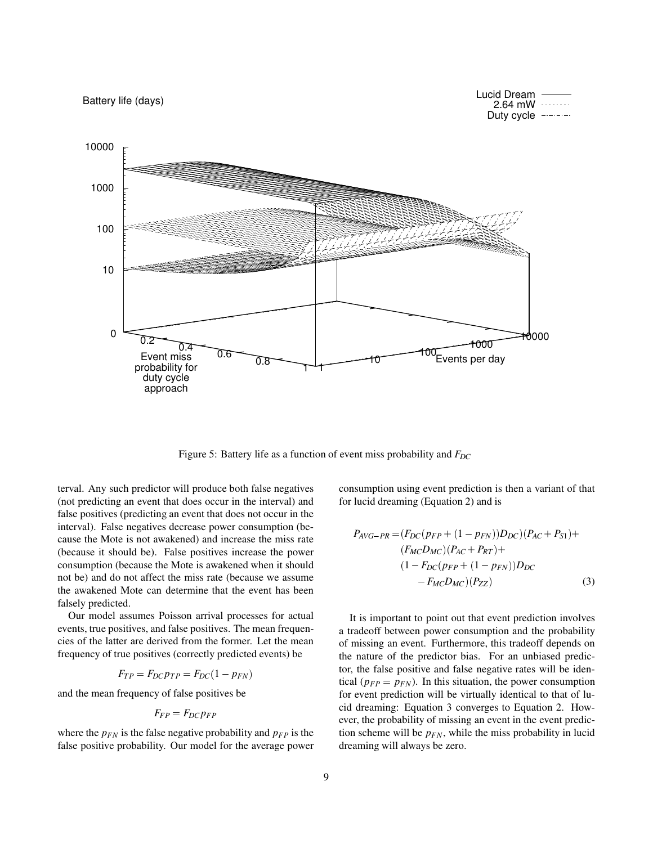

Figure 5: Battery life as a function of event miss probability and *FDC*

terval. Any such predictor will produce both false negatives (not predicting an event that does occur in the interval) and false positives (predicting an event that does not occur in the interval). False negatives decrease power consumption (because the Mote is not awakened) and increase the miss rate (because it should be). False positives increase the power consumption (because the Mote is awakened when it should not be) and do not affect the miss rate (because we assume the awakened Mote can determine that the event has been falsely predicted.

Our model assumes Poisson arrival processes for actual events, true positives, and false positives. The mean frequencies of the latter are derived from the former. Let the mean frequency of true positives (correctly predicted events) be

$$
F_{TP} = F_{DC}p_{TP} = F_{DC}(1 - p_{FN})
$$

and the mean frequency of false positives be

$$
F_{FP} = F_{DC}p_{FP}
$$

where the  $p_{FN}$  is the false negative probability and  $p_{FP}$  is the false positive probability. Our model for the average power consumption using event prediction is then a variant of that for lucid dreaming (Equation 2) and is

$$
P_{AVG-PR} = (F_{DC}(p_{FP} + (1 - p_{FN}))D_{DC})(P_{AC} + P_{S1}) +
$$
  
\n
$$
(F_{MC}D_{MC})(P_{AC} + P_{RT}) +
$$
  
\n
$$
(1 - F_{DC}(p_{FP} + (1 - p_{FN}))D_{DC}
$$
  
\n
$$
-F_{MC}D_{MC})(P_{ZZ})
$$
\n(3)

It is important to point out that event prediction involves a tradeoff between power consumption and the probability of missing an event. Furthermore, this tradeoff depends on the nature of the predictor bias. For an unbiased predictor, the false positive and false negative rates will be identical ( $p_{FP} = p_{FN}$ ). In this situation, the power consumption for event prediction will be virtually identical to that of lucid dreaming: Equation 3 converges to Equation 2. However, the probability of missing an event in the event prediction scheme will be *pFN*, while the miss probability in lucid dreaming will always be zero.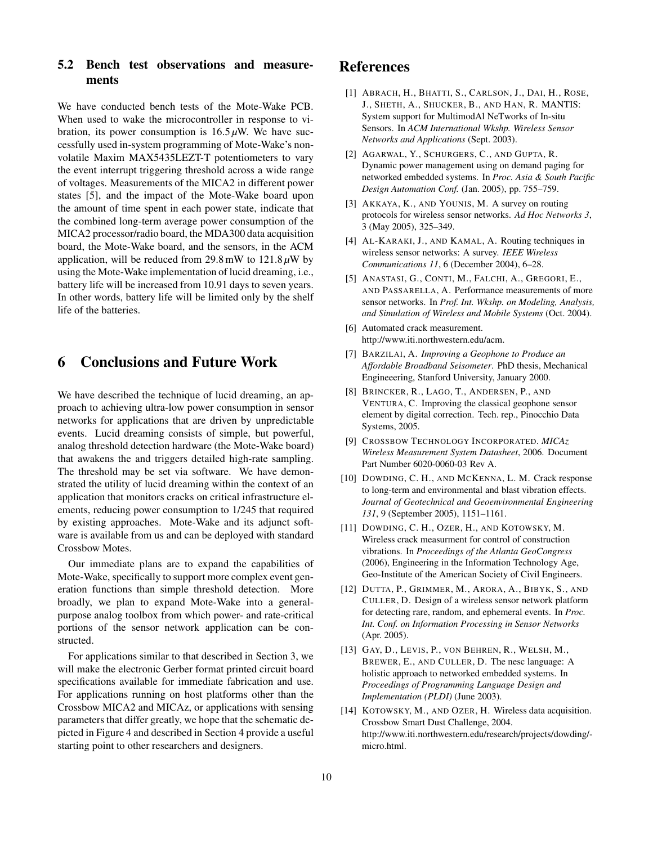### **5.2 Bench test observations and measurements**

We have conducted bench tests of the Mote-Wake PCB. When used to wake the microcontroller in response to vibration, its power consumption is  $16.5 \mu$ W. We have successfully used in-system programming of Mote-Wake's nonvolatile Maxim MAX5435LEZT-T potentiometers to vary the event interrupt triggering threshold across a wide range of voltages. Measurements of the MICA2 in different power states [5], and the impact of the Mote-Wake board upon the amount of time spent in each power state, indicate that the combined long-term average power consumption of the MICA2 processor/radio board, the MDA300 data acquisition board, the Mote-Wake board, and the sensors, in the ACM application, will be reduced from 29.8 mW to  $121.8 \mu W$  by using the Mote-Wake implementation of lucid dreaming, i.e., battery life will be increased from 10.91 days to seven years. In other words, battery life will be limited only by the shelf life of the batteries.

## **6 Conclusions and Future Work**

We have described the technique of lucid dreaming, an approach to achieving ultra-low power consumption in sensor networks for applications that are driven by unpredictable events. Lucid dreaming consists of simple, but powerful, analog threshold detection hardware (the Mote-Wake board) that awakens the and triggers detailed high-rate sampling. The threshold may be set via software. We have demonstrated the utility of lucid dreaming within the context of an application that monitors cracks on critical infrastructure elements, reducing power consumption to 1/245 that required by existing approaches. Mote-Wake and its adjunct software is available from us and can be deployed with standard Crossbow Motes.

Our immediate plans are to expand the capabilities of Mote-Wake, specifically to support more complex event generation functions than simple threshold detection. More broadly, we plan to expand Mote-Wake into a generalpurpose analog toolbox from which power- and rate-critical portions of the sensor network application can be constructed.

For applications similar to that described in Section 3, we will make the electronic Gerber format printed circuit board specifications available for immediate fabrication and use. For applications running on host platforms other than the Crossbow MICA2 and MICAz, or applications with sensing parameters that differ greatly, we hope that the schematic depicted in Figure 4 and described in Section 4 provide a useful starting point to other researchers and designers.

## **References**

- [1] ABRACH, H., BHATTI, S., CARLSON, J., DAI, H., ROSE, J., SHETH, A., SHUCKER, B., AND HAN, R. MANTIS: System support for MultimodAl NeTworks of In-situ Sensors. In *ACM International Wkshp. Wireless Sensor Networks and Applications* (Sept. 2003).
- [2] AGARWAL, Y., SCHURGERS, C., AND GUPTA, R. Dynamic power management using on demand paging for networked embedded systems. In *Proc. Asia & South Pacific Design Automation Conf.* (Jan. 2005), pp. 755–759.
- [3] AKKAYA, K., AND YOUNIS, M. A survey on routing protocols for wireless sensor networks. *Ad Hoc Networks 3*, 3 (May 2005), 325–349.
- [4] AL-KARAKI, J., AND KAMAL, A. Routing techniques in wireless sensor networks: A survey. *IEEE Wireless Communications 11*, 6 (December 2004), 6–28.
- [5] ANASTASI, G., CONTI, M., FALCHI, A., GREGORI, E., AND PASSARELLA, A. Performance measurements of more sensor networks. In *Prof. Int. Wkshp. on Modeling, Analysis, and Simulation of Wireless and Mobile Systems* (Oct. 2004).
- [6] Automated crack measurement. http://www.iti.northwestern.edu/acm.
- [7] BARZILAI, A. *Improving a Geophone to Produce an Affordable Broadband Seisometer*. PhD thesis, Mechanical Engineeering, Stanford University, January 2000.
- [8] BRINCKER, R., LAGO, T., ANDERSEN, P., AND VENTURA, C. Improving the classical geophone sensor element by digital correction. Tech. rep., Pinocchio Data Systems, 2005.
- [9] CROSSBOW TECHNOLOGY INCORPORATED. *MICAz Wireless Measurement System Datasheet*, 2006. Document Part Number 6020-0060-03 Rev A.
- [10] DOWDING, C. H., AND MCKENNA, L. M. Crack response to long-term and environmental and blast vibration effects. *Journal of Geotechnical and Geoenvironmental Engineering 131*, 9 (September 2005), 1151–1161.
- [11] DOWDING, C. H., OZER, H., AND KOTOWSKY, M. Wireless crack measurment for control of construction vibrations. In *Proceedings of the Atlanta GeoCongress* (2006), Engineering in the Information Technology Age, Geo-Institute of the American Society of Civil Engineers.
- [12] DUTTA, P., GRIMMER, M., ARORA, A., BIBYK, S., AND CULLER, D. Design of a wireless sensor network platform for detecting rare, random, and ephemeral events. In *Proc. Int. Conf. on Information Processing in Sensor Networks* (Apr. 2005).
- [13] GAY, D., LEVIS, P., VON BEHREN, R., WELSH, M., BREWER, E., AND CULLER, D. The nesc language: A holistic approach to networked embedded systems. In *Proceedings of Programming Language Design and Implementation (PLDI)* (June 2003).
- [14] KOTOWSKY, M., AND OZER, H. Wireless data acquisition. Crossbow Smart Dust Challenge, 2004. http://www.iti.northwestern.edu/research/projects/dowding/ micro.html.